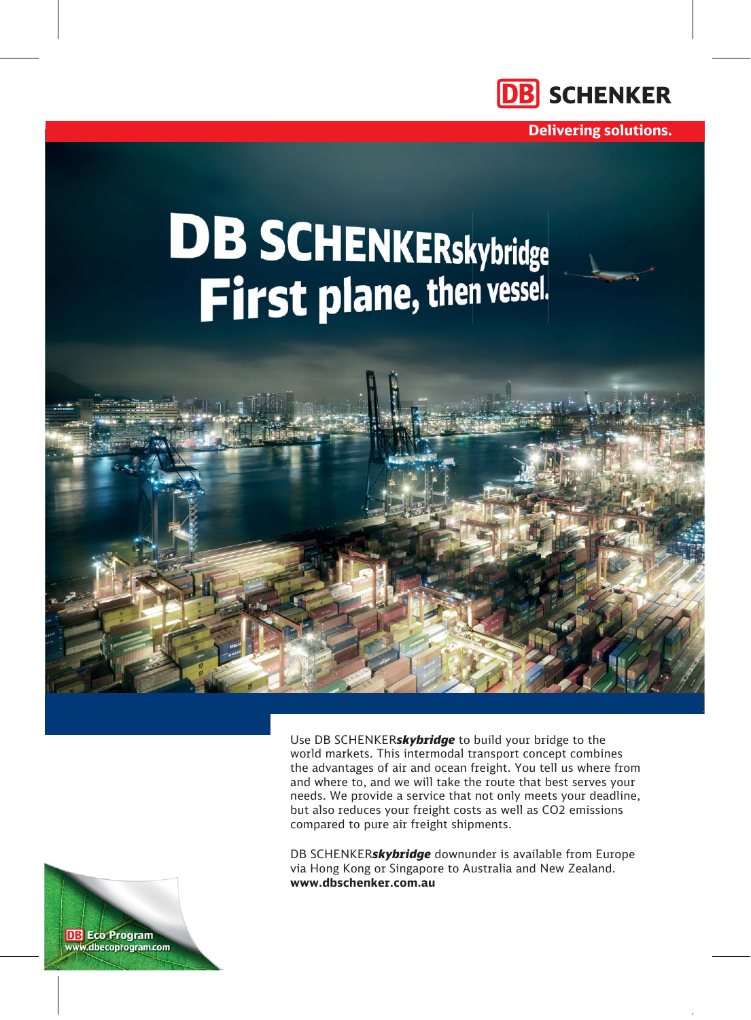

**Delivering solutions.**

# **DB SCHENKERskybridge**<br>First plane, then vessel.



Use DB SCHENKER*skybridge* to build your bridge to the world markets. This intermodal transport concept combines the advantages of air and ocean freight. You tell us where from and where to, and we will take the route that best serves your needs. We provide a service that not only meets your deadline, but also reduces your freight costs as well as CO2 emissions compared to pure air freight shipments.

DB SCHENKER*skybridge* downunder is available from Europe via Hong Kong or Singapore to Australia and New Zealand. **www.dbschenker.com.au** 

**DB** Eco Program www.dbecoprogram.com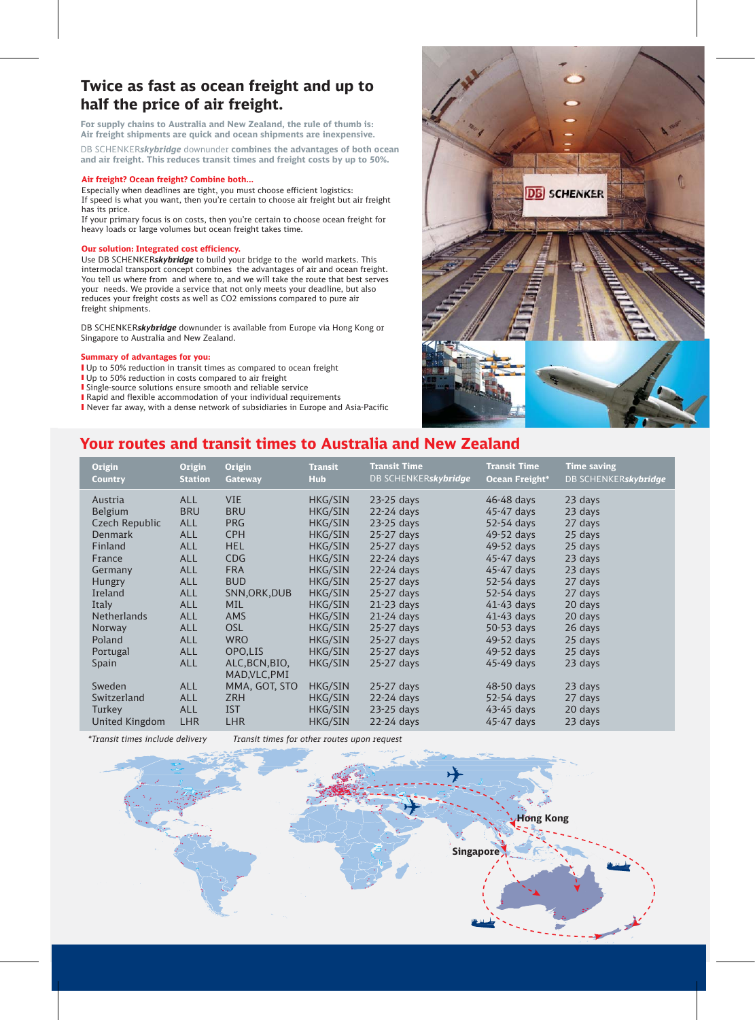# **Twice as fast as ocean freight and up to half the price of air freight.**

**For supply chains to Australia and New Zealand, the rule of thumb is: Air freight shipments are quick and ocean shipments are inexpensive.**

DB SCHENKER*skybridge* downunder **combines the advantages of both ocean and air freight. This reduces transit times and freight costs by up to 50%.**

### **Air freight? Ocean freight? Combine both...**

Especially when deadlines are tight, you must choose efficient logistics: If speed is what you want, then you're certain to choose air freight but air freight has its price.

If your primary focus is on costs, then you're certain to choose ocean freight for heavy loads or large volumes but ocean freight takes time.

# **Our solution: Integrated cost efficiency.**

Use DB SCHENKER*skybridge* to build your bridge to the world markets. This intermodal transport concept combines the advantages of air and ocean freight. You tell us where from and where to, and we will take the route that best serves your needs. We provide a service that not only meets your deadline, but also reduces your freight costs as well as CO2 emissions compared to pure air freight shipments.

DB SCHENKER*skybridge* downunder is available from Europe via Hong Kong or Singapore to Australia and New Zealand.

# **Summary of advantages for you:**

- Up to 50% reduction in transit times as compared to ocean freight
- Up to 50% reduction in costs compared to air freight
- Single-source solutions ensure smooth and reliable service
- Rapid and flexible accommodation of your individual requirements
- Never far away, with a dense network of subsidiaries in Europe and Asia-Pacific



# **Your routes and transit times to Australia and New Zealand**

| <b>Origin</b><br><b>Country</b> | <b>Origin</b><br><b>Station</b> | <b>Origin</b><br><b>Gateway</b> | <b>Transit</b><br><b>Hub</b> | <b>Transit Time</b><br>DB SCHENKERskybridge | <b>Transit Time</b><br><b>Ocean Freight*</b> | <b>Time saving</b><br>DB SCHENKERskybridge |
|---------------------------------|---------------------------------|---------------------------------|------------------------------|---------------------------------------------|----------------------------------------------|--------------------------------------------|
| Austria                         | <b>ALL</b>                      | <b>VIE</b>                      | <b>HKG/SIN</b>               | 23-25 days                                  | 46-48 days                                   | 23 days                                    |
| <b>Belgium</b>                  | <b>BRU</b>                      | <b>BRU</b>                      | <b>HKG/SIN</b>               | $22-24$ days                                | 45-47 days                                   | 23 days                                    |
| Czech Republic                  | <b>ALL</b>                      | <b>PRG</b>                      | <b>HKG/SIN</b>               | 23-25 days                                  | 52-54 days                                   | 27 days                                    |
| Denmark                         | <b>ALL</b>                      | <b>CPH</b>                      | <b>HKG/SIN</b>               | $25-27$ days                                | 49-52 days                                   | 25 days                                    |
| <b>Finland</b>                  | <b>ALL</b>                      | <b>HEL</b>                      | <b>HKG/SIN</b>               | 25-27 days                                  | 49-52 days                                   | 25 days                                    |
| France                          | <b>ALL</b>                      | CDG                             | <b>HKG/SIN</b>               | $22-24$ days                                | 45-47 days                                   | 23 days                                    |
| Germany                         | <b>ALL</b>                      | <b>FRA</b>                      | <b>HKG/SIN</b>               | $22-24$ days                                | 45-47 days                                   | 23 days                                    |
| Hungry                          | <b>ALL</b>                      | <b>BUD</b>                      | <b>HKG/SIN</b>               | 25-27 days                                  | 52-54 days                                   | 27 days                                    |
| Ireland                         | <b>ALL</b>                      | SNN, ORK, DUB                   | <b>HKG/SIN</b>               | 25-27 days                                  | 52-54 days                                   | 27 days                                    |
| <b>Italy</b>                    | <b>ALL</b>                      | <b>MIL</b>                      | <b>HKG/SIN</b>               | $21-23$ days                                | $41-43$ days                                 | 20 days                                    |
| <b>Netherlands</b>              | <b>ALL</b>                      | <b>AMS</b>                      | <b>HKG/SIN</b>               | $21-24$ days                                | $41-43$ days                                 | 20 days                                    |
| Norway                          | <b>ALL</b>                      | OSL                             | <b>HKG/SIN</b>               | 25-27 days                                  | 50-53 days                                   | 26 days                                    |
| Poland                          | <b>ALL</b>                      | <b>WRO</b>                      | <b>HKG/SIN</b>               | 25-27 days                                  | 49-52 days                                   | 25 days                                    |
| Portugal                        | <b>ALL</b>                      | OPO,LIS                         | <b>HKG/SIN</b>               | 25-27 days                                  | 49-52 days                                   | 25 days                                    |
| Spain                           | <b>ALL</b>                      | ALC, BCN, BIO,<br>MAD, VLC, PMI | HKG/SIN                      | 25-27 days                                  | 45-49 days                                   | 23 days                                    |
| Sweden                          | <b>ALL</b>                      | MMA, GOT, STO                   | <b>HKG/SIN</b>               | $25-27$ days                                | 48-50 days                                   | 23 days                                    |
| Switzerland                     | <b>ALL</b>                      | <b>ZRH</b>                      | <b>HKG/SIN</b>               | $22-24$ days                                | 52-54 days                                   | 27 days                                    |
| Turkey                          | <b>ALL</b>                      | <b>IST</b>                      | <b>HKG/SIN</b>               | 23-25 days                                  | 43-45 days                                   | 20 days                                    |
| United Kingdom                  | <b>LHR</b>                      | <b>LHR</b>                      | <b>HKG/SIN</b>               | 22-24 days                                  | 45-47 days                                   | 23 days                                    |

*\*Transit times include delivery Transit times for other routes upon request*

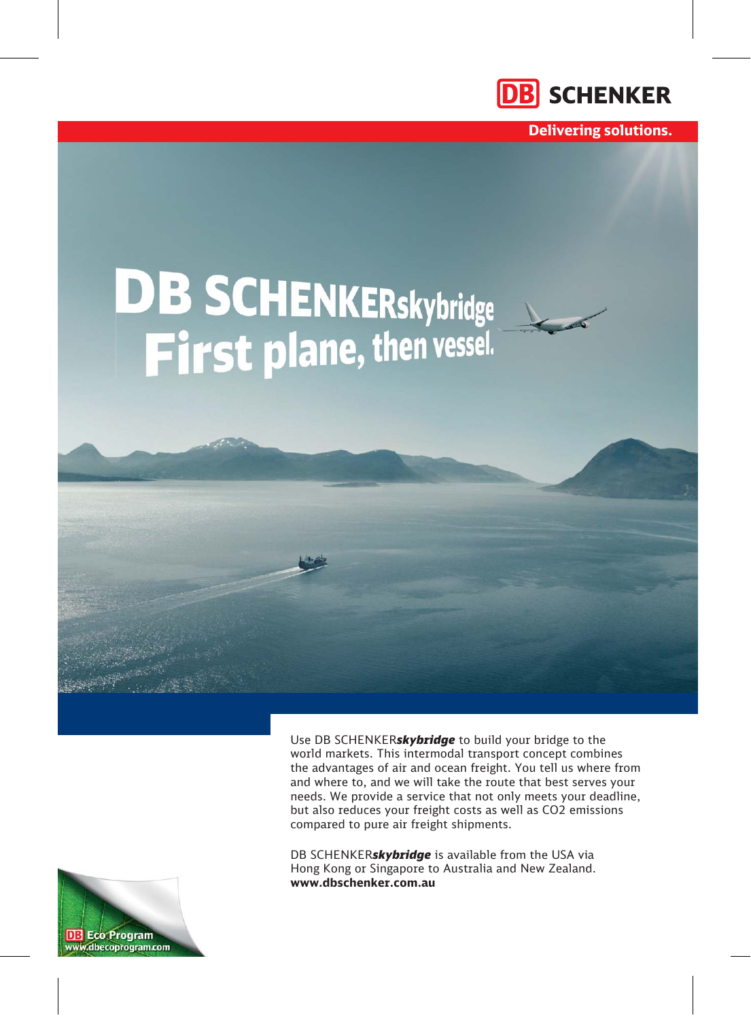

**Delivering solutions.**

# **DB SCHENKERskybridge**

Use DB SCHENKER*skybridge* to build your bridge to the world markets. This intermodal transport concept combines the advantages of air and ocean freight. You tell us where from and where to, and we will take the route that best serves your needs. We provide a service that not only meets your deadline, but also reduces your freight costs as well as CO2 emissions compared to pure air freight shipments.

DB SCHENKER*skybridge* is available from the USA via Hong Kong or Singapore to Australia and New Zealand. **www.dbschenker.com.au** 

**DB** Eco Program www.dbecoprogram.com